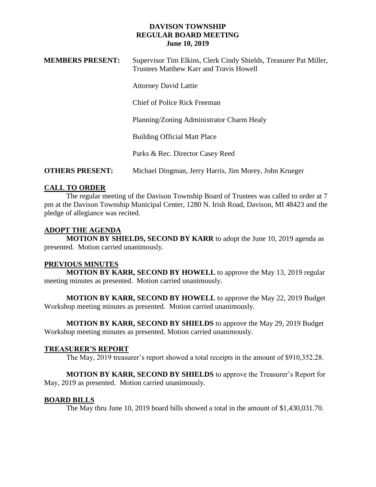**MEMBERS PRESENT:** Supervisor Tim Elkins, Clerk Cindy Shields, Treasurer Pat Miller,

|                        | Trustees Matthew Karr and Travis Howell                |
|------------------------|--------------------------------------------------------|
|                        | <b>Attorney David Lattie</b>                           |
|                        | Chief of Police Rick Freeman                           |
|                        | Planning/Zoning Administrator Charm Healy              |
|                        | <b>Building Official Matt Place</b>                    |
|                        | Parks & Rec. Director Casey Reed                       |
| <b>OTHERS PRESENT:</b> | Michael Dingman, Jerry Harris, Jim Morey, John Krueger |

# **CALL TO ORDER**

The regular meeting of the Davison Township Board of Trustees was called to order at 7 pm at the Davison Township Municipal Center, 1280 N. Irish Road, Davison, MI 48423 and the pledge of allegiance was recited.

## **ADOPT THE AGENDA**

**MOTION BY SHIELDS, SECOND BY KARR** to adopt the June 10, 2019 agenda as presented. Motion carried unanimously.

## **PREVIOUS MINUTES**

**MOTION BY KARR, SECOND BY HOWELL** to approve the May 13, 2019 regular meeting minutes as presented. Motion carried unanimously.

**MOTION BY KARR, SECOND BY HOWELL** to approve the May 22, 2019 Budget Workshop meeting minutes as presented. Motion carried unanimously.

**MOTION BY KARR, SECOND BY SHIELDS** to approve the May 29, 2019 Budget Workshop meeting minutes as presented. Motion carried unanimously.

## **TREASURER'S REPORT**

The May, 2019 treasurer's report showed a total receipts in the amount of \$910,352.28.

**MOTION BY KARR, SECOND BY SHIELDS** to approve the Treasurer's Report for May, 2019 as presented. Motion carried unanimously.

## **BOARD BILLS**

The May thru June 10, 2019 board bills showed a total in the amount of \$1,430,031.70.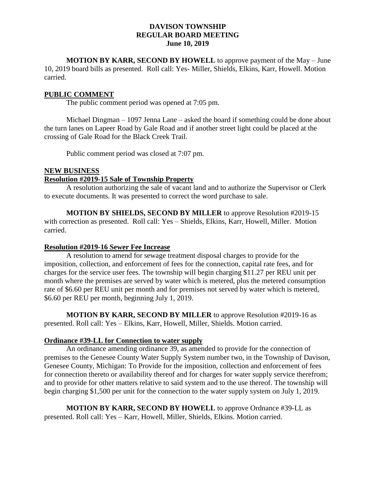**MOTION BY KARR, SECOND BY HOWELL** to approve payment of the May – June 10, 2019 board bills as presented. Roll call: Yes- Miller, Shields, Elkins, Karr, Howell. Motion carried.

## **PUBLIC COMMENT**

The public comment period was opened at 7:05 pm.

Michael Dingman – 1097 Jenna Lane – asked the board if something could be done about the turn lanes on Lapeer Road by Gale Road and if another street light could be placed at the crossing of Gale Road for the Black Creek Trail.

Public comment period was closed at 7:07 pm.

### **NEW BUSINESS**

## **Resolution #2019-15 Sale of Township Property**

A resolution authorizing the sale of vacant land and to authorize the Supervisor or Clerk to execute documents. It was presented to correct the word purchase to sale.

**MOTION BY SHIELDS, SECOND BY MILLER** to approve Resolution #2019-15 with correction as presented. Roll call: Yes – Shields, Elkins, Karr, Howell, Miller. Motion carried.

## **Resolution #2019-16 Sewer Fee Increase**

A resolution to amend for sewage treatment disposal charges to provide for the imposition, collection, and enforcement of fees for the connection, capital rate fees, and for charges for the service user fees. The township will begin charging \$11.27 per REU unit per month where the premises are served by water which is metered, plus the metered consumption rate of \$6.60 per REU unit per month and for premises not served by water which is metered, \$6.60 per REU per month, beginning July 1, 2019.

**MOTION BY KARR, SECOND BY MILLER** to approve Resolution #2019-16 as presented. Roll call: Yes – Elkins, Karr, Howell, Miller, Shields. Motion carried.

## **Ordinance #39-LL for Connection to water supply**

An ordinance amending ordinance 39, as amended to provide for the connection of premises to the Genesee County Water Supply System number two, in the Township of Davison, Genesee County, Michigan: To Provide for the imposition, collection and enforcement of fees for connection thereto or availability thereof and for charges for water supply service therefrom; and to provide for other matters relative to said system and to the use thereof. The township will begin charging \$1,500 per unit for the connection to the water supply system on July 1, 2019.

**MOTION BY KARR, SECOND BY HOWELL** to approve Ordnance #39-LL as presented. Roll call: Yes – Karr, Howell, Miller, Shields, Elkins. Motion carried.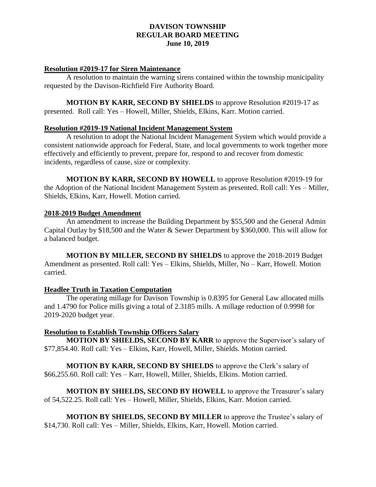### **Resolution #2019-17 for Siren Maintenance**

A resolution to maintain the warning sirens contained within the township municipality requested by the Davison-Richfield Fire Authority Board.

**MOTION BY KARR, SECOND BY SHIELDS** to approve Resolution #2019-17 as presented. Roll call: Yes – Howell, Miller, Shields, Elkins, Karr. Motion carried.

#### **Resolution #2019-19 National Incident Management System**

A resolution to adopt the National Incident Management System which would provide a consistent nationwide approach for Federal, State, and local governments to work together more effectively and efficiently to prevent, prepare for, respond to and recover from domestic incidents, regardless of cause, size or complexity.

**MOTION BY KARR, SECOND BY HOWELL** to approve Resolution #2019-19 for the Adoption of the National Incident Management System as presented. Roll call: Yes – Miller, Shields, Elkins, Karr, Howell. Motion carried.

### **2018-2019 Budget Amendment**

An amendment to increase the Building Department by \$55,500 and the General Admin Capital Outlay by \$18,500 and the Water & Sewer Department by \$360,000. This will allow for a balanced budget.

**MOTION BY MILLER, SECOND BY SHIELDS** to approve the 2018-2019 Budget Amendment as presented. Roll call: Yes – Elkins, Shields, Miller, No – Karr, Howell. Motion carried.

### **Headlee Truth in Taxation Computation**

The operating millage for Davison Township is 0.8395 for General Law allocated mills and 1.4790 for Police mills giving a total of 2.3185 mills. A millage reduction of 0.9998 for 2019-2020 budget year.

### **Resolution to Establish Township Officers Salary**

**MOTION BY SHIELDS, SECOND BY KARR** to approve the Supervisor's salary of \$77,854.40. Roll call: Yes – Elkins, Karr, Howell, Miller, Shields. Motion carried.

**MOTION BY KARR, SECOND BY SHIELDS** to approve the Clerk's salary of \$66,255.60. Roll call: Yes – Karr, Howell, Miller, Shields, Elkins. Motion carried.

**MOTION BY SHIELDS, SECOND BY HOWELL** to approve the Treasurer's salary of 54,522.25. Roll call: Yes – Howell, Miller, Shields, Elkins, Karr. Motion carried.

**MOTION BY SHIELDS, SECOND BY MILLER** to approve the Trustee's salary of \$14,730. Roll call: Yes – Miller, Shields, Elkins, Karr, Howell. Motion carried.